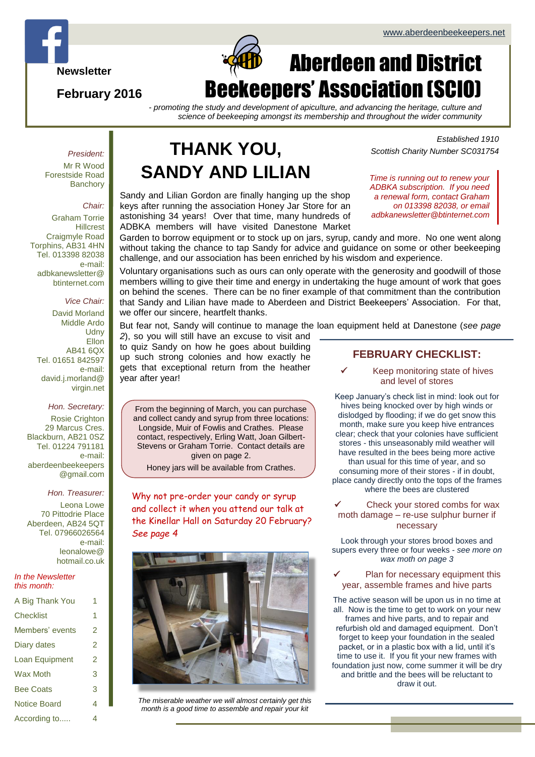

**February 2016**

# $\Box$ Aberdeen and District Beekeepers' Association (SCIO)

*- promoting the study and development of apiculture, and advancing the heritage, culture and science of beekeeping amongst its membership and throughout the wider community*

#### *President:*

Mr R Wood Forestside Road **Banchory** 

#### *Chair:*

Graham Torrie **Hillcrest** Craigmyle Road Torphins, AB31 4HN Tel. 013398 82038 e-mail: adbkanewsletter@ btinternet.com

#### *Vice Chair:*

David Morland Middle Ardo **Udny Ellon** AB41 6QX Tel. 01651 842597 e-mail: david.j.morland@ virgin.net

#### *Hon. Secretary:*

Rosie Crighton 29 Marcus Cres. Blackburn, AB21 0SZ Tel. 01224 791181 e-mail: aberdeenbeekeepers @gmail.com

#### *Hon. Treasurer:*

Leona Lowe 70 Pittodrie Place Aberdeen, AB24 5QT Tel. 07966026564 e-mail: leonalowe@ hotmail.co.uk

#### *In the Newsletter this month:*

| A Big Thank You     | 1 |
|---------------------|---|
| Checklist           | 1 |
| Members' events     | 2 |
| Diary dates         | 2 |
| Loan Equipment      | 2 |
| <b>Wax Moth</b>     | 3 |
| <b>Bee Coats</b>    | 3 |
| <b>Notice Board</b> | 4 |
| According to        | 4 |

# **THANK YOU, SANDY AND LILIAN** *Time is running out to renew your*

Sandy and Lilian Gordon are finally hanging up the shop keys after running the association Honey Jar Store for an astonishing 34 years! Over that time, many hundreds of ADBKA members will have visited Danestone Market

*Established 1910 Scottish Charity Number SC031754*

*ADBKA subscription. If you need a renewal form, contact Graham on 013398 82038, or email adbkanewsletter@btinternet.com*

Garden to borrow equipment or to stock up on jars, syrup, candy and more. No one went along without taking the chance to tap Sandy for advice and guidance on some or other beekeeping challenge, and our association has been enriched by his wisdom and experience.

Voluntary organisations such as ours can only operate with the generosity and goodwill of those members willing to give their time and energy in undertaking the huge amount of work that goes on behind the scenes. There can be no finer example of that commitment than the contribution that Sandy and Lilian have made to Aberdeen and District Beekeepers' Association. For that, we offer our sincere, heartfelt thanks.

But fear not, Sandy will continue to manage the loan equipment held at Danestone (*see page* 

*2*), so you will still have an excuse to visit and to quiz Sandy on how he goes about building up such strong colonies and how exactly he gets that exceptional return from the heather year after year!

From the beginning of March, you can purchase and collect candy and syrup from three locations: Longside, Muir of Fowlis and Crathes. Please contact, respectively, Erling Watt, Joan Gilbert-Stevens or Graham Torrie. Contact details are given on page 2.

Honey jars will be available from Crathes.

Why not pre-order your candy or syrup and collect it when you attend our talk at the Kinellar Hall on Saturday 20 February? *See page 4*



*The miserable weather we will almost certainly get this month is a good time to assemble and repair your kit*

#### **FEBRUARY CHECKLIST:**

 Keep monitoring state of hives and level of stores

Keep January's check list in mind: look out for hives being knocked over by high winds or dislodged by flooding; if we do get snow this month, make sure you keep hive entrances clear; check that your colonies have sufficient stores - this unseasonably mild weather will have resulted in the bees being more active than usual for this time of year, and so consuming more of their stores - if in doubt, place candy directly onto the tops of the frames where the bees are clustered

 Check your stored combs for wax moth damage – re-use sulphur burner if necessary

Look through your stores brood boxes and supers every three or four weeks - *see more on wax moth on page 3*

 Plan for necessary equipment this year, assemble frames and hive parts

The active season will be upon us in no time at all. Now is the time to get to work on your new frames and hive parts, and to repair and refurbish old and damaged equipment. Don't forget to keep your foundation in the sealed packet, or in a plastic box with a lid, until it's time to use it. If you fit your new frames with foundation just now, come summer it will be dry and brittle and the bees will be reluctant to draw it out.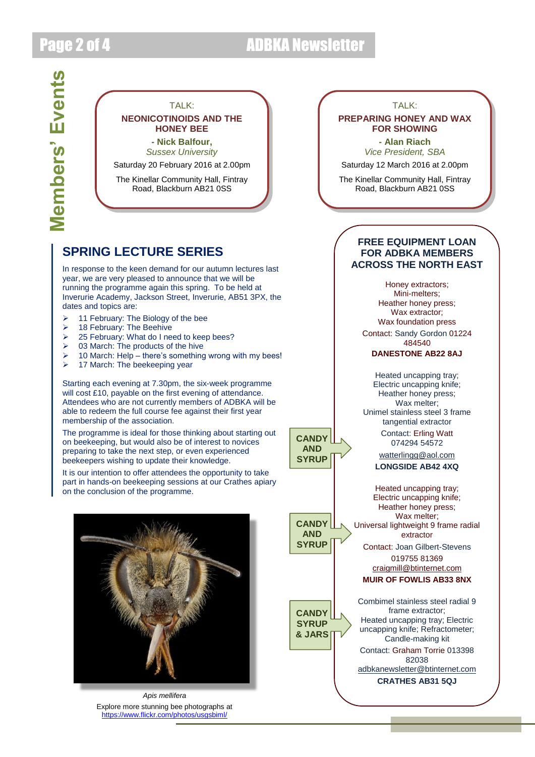# Page 2 of 4 ADBKA Newsletter

**CANDY AND SYRUP**

**CANDY AND SYRUP**

**CANDY SYRUP & JARS**

### TAI K<sup>.</sup> **NEONICOTINOIDS AND THE HONEY BEE**

**- Nick Balfour,**

*Sussex University*

Saturday 20 February 2016 at 2.00pm

The Kinellar Community Hall, Fintray Road, Blackburn AB21 0SS

### **SPRING LECTURE SERIES**

In response to the keen demand for our autumn lectures last year, we are very pleased to announce that we will be running the programme again this spring. To be held at Inverurie Academy, Jackson Street, Inverurie, AB51 3PX, the dates and topics are:

- $\geq$  11 February: The Biology of the bee
- > 18 February: The Beehive
- ▶ 25 February: What do I need to keep bees?
- $\geq$  03 March: The products of the hive
- 10 March: Help there's something wrong with my bees!
- 17 March: The beekeeping year

Starting each evening at 7.30pm, the six-week programme will cost £10, payable on the first evening of attendance. Attendees who are not currently members of ADBKA will be able to redeem the full course fee against their first year membership of the association.

The programme is ideal for those thinking about starting out on beekeeping, but would also be of interest to novices preparing to take the next step, or even experienced beekeepers wishing to update their knowledge.

It is our intention to offer attendees the opportunity to take part in hands-on beekeeping sessions at our Crathes apiary on the conclusion of the programme.



*Apis mellifera* Explore more stunning bee photographs at <https://www.flickr.com/photos/usgsbiml/>

#### TAI K<sup>.</sup>

#### **PREPARING HONEY AND WAX FOR SHOWING**

**- Alan Riach** *Vice President, SBA*

Saturday 12 March 2016 at 2.00pm

The Kinellar Community Hall, Fintray Road, Blackburn AB21 0SS

### **FREE EQUIPMENT LOAN FOR ADBKA MEMBERS ACROSS THE NORTH EAST**

Honey extractors; Mini-melters; Heather honey press; Wax extractor; Wax foundation press Contact: Sandy Gordon 01224 484540 **DANESTONE AB22 8AJ**

Heated uncapping tray; Electric uncapping knife; Heather honey press; Wax melter: Unimel stainless steel 3 frame tangential extractor

> Contact: Erling Watt 074294 54572

[watterlingg@aol.com](mailto:watterlingg@aol.com) **LONGSIDE AB42 4XQ**

Heated uncapping tray; Electric uncapping knife; Heather honey press; Wax melter; Universal lightweight 9 frame radial extractor

Contact: Joan Gilbert-Stevens 019755 81369

[craigmill@btinternet.com](mailto:craigmill@btinternet.com)

### **MUIR OF FOWLIS AB33 8NX**

Combimel stainless steel radial 9 frame extractor; Heated uncapping tray; Electric uncapping knife; Refractometer; Candle-making kit Contact: Graham Torrie 013398 82038 [adbkanewsletter@btinternet.com](mailto:adbkanewsletter@btinternet.com) **CRATHES AB31 5QJ**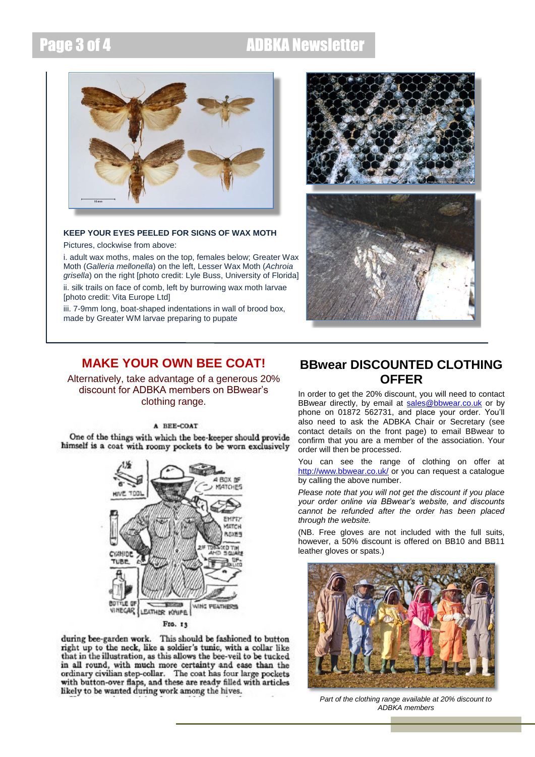## Page 3 of 4 ADBKA Newsletter



### **KEEP YOUR EYES PEELED FOR SIGNS OF WAX MOTH**

Pictures, clockwise from above:

i. adult wax moths, males on the top, females below; Greater Wax Moth (*Galleria mellonella*) on the left, Lesser Wax Moth (*Achroia grisella*) on the right [photo credit: Lyle Buss, University of Florida] ii. silk trails on face of comb, left by burrowing wax moth larvae

[photo credit: Vita Europe Ltd]

iii. 7-9mm long, boat-shaped indentations in wall of brood box, made by Greater WM larvae preparing to pupate



### **MAKE YOUR OWN BEE COAT!**

Alternatively, take advantage of a generous 20% discount for ADBKA members on BBwear's clothing range.

#### A REE-COAT

One of the things with which the bee-keeper should provide himself is a coat with roomy pockets to be worn exclusively



#### Fro. 13

during bee-garden work. This should be fashioned to button right up to the neck, like a soldier's tunic, with a collar like that in the illustration, as this allows the bee-veil to be tucked in all round, with much more certainty and ease than the ordinary civilian step-collar. The coat has four large pockets with button-over flaps, and these are ready filled with articles likely to be wanted during work among the hives.

### **BBwear DISCOUNTED CLOTHING OFFER**

In order to get the 20% discount, you will need to contact BBwear directly, by email at [sales@bbwear.co.uk](mailto:sales@bbwear.co.uk) or by phone on 01872 562731, and place your order. You'll also need to ask the ADBKA Chair or Secretary (see contact details on the front page) to email BBwear to confirm that you are a member of the association. Your order will then be processed.

You can see the range of clothing on offer at <http://www.bbwear.co.uk/> or you can request a catalogue by calling the above number.

*Please note that you will not get the discount if you place your order online via BBwear's website, and discounts cannot be refunded after the order has been placed through the website.*

(NB. Free gloves are not included with the full suits, however, a 50% discount is offered on BB10 and BB11 leather gloves or spats.)



*Part of the clothing range available at 20% discount to ADBKA members*